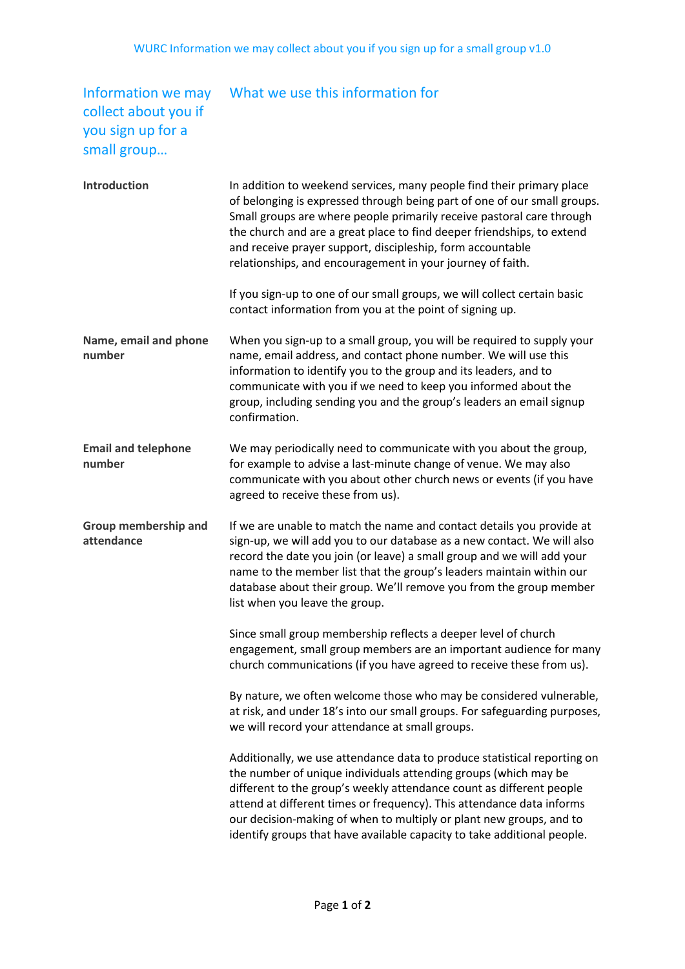## collect about you if you sign up for a small group…

## Information we may What we use this information for

| <b>Introduction</b>                  | In addition to weekend services, many people find their primary place<br>of belonging is expressed through being part of one of our small groups.<br>Small groups are where people primarily receive pastoral care through<br>the church and are a great place to find deeper friendships, to extend<br>and receive prayer support, discipleship, form accountable<br>relationships, and encouragement in your journey of faith.               |
|--------------------------------------|------------------------------------------------------------------------------------------------------------------------------------------------------------------------------------------------------------------------------------------------------------------------------------------------------------------------------------------------------------------------------------------------------------------------------------------------|
|                                      | If you sign-up to one of our small groups, we will collect certain basic<br>contact information from you at the point of signing up.                                                                                                                                                                                                                                                                                                           |
| Name, email and phone<br>number      | When you sign-up to a small group, you will be required to supply your<br>name, email address, and contact phone number. We will use this<br>information to identify you to the group and its leaders, and to<br>communicate with you if we need to keep you informed about the<br>group, including sending you and the group's leaders an email signup<br>confirmation.                                                                       |
| <b>Email and telephone</b><br>number | We may periodically need to communicate with you about the group,<br>for example to advise a last-minute change of venue. We may also<br>communicate with you about other church news or events (if you have<br>agreed to receive these from us).                                                                                                                                                                                              |
| Group membership and<br>attendance   | If we are unable to match the name and contact details you provide at<br>sign-up, we will add you to our database as a new contact. We will also<br>record the date you join (or leave) a small group and we will add your<br>name to the member list that the group's leaders maintain within our<br>database about their group. We'll remove you from the group member<br>list when you leave the group.                                     |
|                                      | Since small group membership reflects a deeper level of church<br>engagement, small group members are an important audience for many<br>church communications (if you have agreed to receive these from us).                                                                                                                                                                                                                                   |
|                                      | By nature, we often welcome those who may be considered vulnerable,<br>at risk, and under 18's into our small groups. For safeguarding purposes,<br>we will record your attendance at small groups.                                                                                                                                                                                                                                            |
|                                      | Additionally, we use attendance data to produce statistical reporting on<br>the number of unique individuals attending groups (which may be<br>different to the group's weekly attendance count as different people<br>attend at different times or frequency). This attendance data informs<br>our decision-making of when to multiply or plant new groups, and to<br>identify groups that have available capacity to take additional people. |